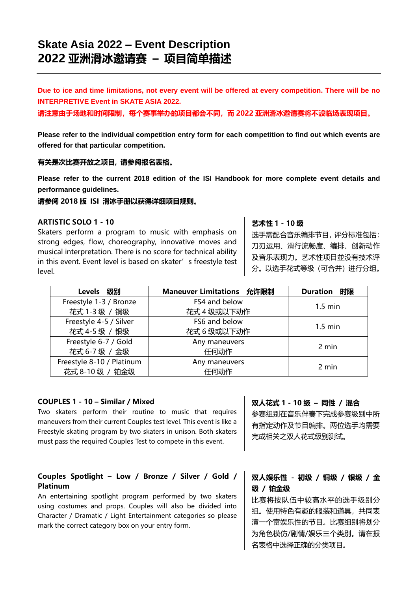**Due to ice and time limitations, not every event will be offered at every competition. There will be no INTERPRETIVE Event in SKATE ASIA 2022.**

**请注意由于场地和时间限制,每个赛事举办的项目都会不同,而 2022 亚洲滑冰邀请赛将不設临场表现项目。**

**Please refer to the individual competition entry form for each competition to find out which events are offered for that particular competition.**

#### **有关是次比赛开放之项目, 请参阅报名表格。**

**Please refer to the current 2018 edition of the ISI Handbook for more complete event details and performance guidelines.**

**请参阅 2018 版 ISI 滑冰手册以获得详细项目规则。**

#### **ARTISTIC SOLO 1 - 10**

Skaters perform a program to music with emphasis on strong edges, flow, choreography, innovative moves and musical interpretation. There is no score for technical ability in this event. Event level is based on skater's freestyle test level.

#### **艺术性 1 - 10 级**

选手需配合音乐编排节目,评分标准包括: 刀刃运用、滑行流畅度、编排、创新动作 及音乐表现力。艺术性项目並没有技术评 分。以选手花式等级(可合并)进行分组。

| Levels 级别                 | Maneuver Limitations 允许限制          | <b>Duration 时限</b> |
|---------------------------|------------------------------------|--------------------|
| Freestyle 1-3 / Bronze    | FS4 and below<br>$1.5 \text{ min}$ |                    |
| 花式 1-3 级 / 铜级             | 花式 4 级或以下动作                        |                    |
| Freestyle 4-5 / Silver    | FS6 and below                      | $1.5 \text{ min}$  |
| 花式 4-5 级 / 银级             | 花式6级或以下动作                          |                    |
| Freestyle 6-7 / Gold      | Any maneuvers                      |                    |
| 花式 6-7 级 / 金级             | 任何动作                               | 2 min              |
| Freestyle 8-10 / Platinum | Any maneuvers                      | 2 min              |
| 花式 8-10 级 / 铂金级           | 任何动作                               |                    |

#### **COUPLES 1 - 10 – Similar / Mixed**

Two skaters perform their routine to music that requires maneuvers from their current Couples test level. This event is like a Freestyle skating program by two skaters in unison. Both skaters must pass the required Couples Test to compete in this event.

## **Couples Spotlight – Low / Bronze / Silver / Gold / Platinum**

An entertaining spotlight program performed by two skaters using costumes and props. Couples will also be divided into Character / Dramatic / Light Entertainment categories so please mark the correct category box on your entry form.

#### **双人花式 1 - 10 级 – 同性 / 混合**

参赛组别在音乐伴奏下完成参赛级别中所 有指定动作及节目编排。两位选手均需要 完成相关之双人花式级别测试。

## **双人娱乐性 - 初级 / 铜级 / 银级 / 金 级 / 铂金级**

比赛将按队伍中较高水平的选手级别分 组。使用特色有趣的服装和道具,共同表 演一个富娱乐性的节目。比赛组别将划分 为角色模仿/剧情/娱乐三个类别。请在报 名表格中选择正确的分类项目。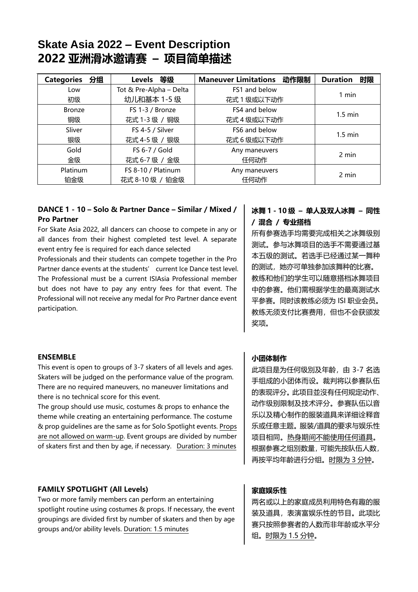| 分组<br><b>Categories</b> | Levels 等级               | 动作限制<br><b>Maneuver Limitations</b> | 时限<br><b>Duration</b> |
|-------------------------|-------------------------|-------------------------------------|-----------------------|
| Low                     | Tot & Pre-Alpha - Delta | FS1 and below                       |                       |
| 初级                      | 幼儿和基本 1-5 级             | 花式 1 级或以下动作                         | 1 min                 |
| <b>Bronze</b>           | FS 1-3 / Bronze         | FS4 and below                       |                       |
| 铜级                      | 花式 1-3 级 / 铜级           | 花式 4 级或以下动作                         | $1.5 \text{ min}$     |
| Sliver                  | FS 4-5 / Silver         | FS6 and below                       |                       |
| 银级                      | 花式 4-5 级 / 银级           | 花式6级或以下动作                           | $1.5 \text{ min}$     |
| Gold                    | FS 6-7 / Gold           | Any maneuvers                       |                       |
| 金级                      | 花式 6-7 级 / 金级           | 任何动作                                | 2 min                 |
| Platinum                | FS 8-10 / Platinum      | Any maneuvers                       |                       |
| 铂金级                     | 花式 8-10 级 / 铂金级         | 任何动作                                | 2 min                 |

## **DANCE 1 - 10 – Solo & Partner Dance – Similar / Mixed / Pro Partner**

For Skate Asia 2022, all dancers can choose to compete in any or all dances from their highest completed test level. A separate event entry fee is required for each dance selected

Professionals and their students can compete together in the Pro Partner dance events at the students' current Ice Dance test level. The Professional must be a current ISIAsia Professional member but does not have to pay any entry fees for that event. The Professional will not receive any medal for Pro Partner dance event participation.

## **冰舞 1 - 10 级 – 单人及双人冰舞 – 同性 / 混合 / 专业搭档**

所有参赛选手均需要完成相关之冰舞级别 测试。参与冰舞项目的选手不需要通过基 本五级的测试。若选手已经通过某一舞种 的测试,她亦可单独参加该舞种的比赛。 教练和他们的学生可以随意搭档冰舞项目 中的参赛。他们需根据学生的最高测试水 平参赛。同时该教练必须为 ISI 职业会员。 教练无须支付比赛费用,但也不会获颁发 奖项。

## **ENSEMBLE**

This event is open to groups of 3-7 skaters of all levels and ages. Skaters will be judged on the performance value of the program. There are no required maneuvers, no maneuver limitations and there is no technical score for this event.

The group should use music, costumes & props to enhance the theme while creating an entertaining performance. The costume & prop guidelines are the same as for Solo Spotlight events. Props are not allowed on warm-up. Event groups are divided by number of skaters first and then by age, if necessary. Duration: 3 minutes

## **FAMILY SPOTLIGHT (All Levels)**

Two or more family members can perform an entertaining spotlight routine using costumes & props. If necessary, the event groupings are divided first by number of skaters and then by age groups and/or ability levels. Duration: 1.5 minutes

## **小团体制作**

此项目是为任何级別及年齡,由 3-7 名选 手组成的小团体而设。裁判将以参赛队伍 的表现评分。此项目並沒有任何规定动作、 动作级别限制及技术评分。参赛队伍以音 乐以及精心制作的服装道具来详细诠释音 乐或任意主题。服装/道具的要求与娱乐性 项目相同。热身期间不能使用任何道具。 根据参赛之组別数量,可能先按队伍人数, 再按平均年齡进行分组。时限为 3 分钟。

## **家庭娱乐性**

两名或以上的家庭成员利用特色有趣的服 装及道具,表演富娱乐性的节目。此项比 赛只按照参赛者的人数而非年龄或水平分 组。时限为 1.5 分钟。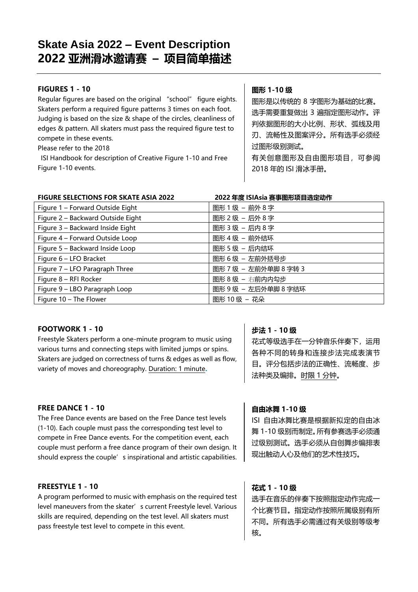## **FIGURES 1 - 10**

Regular figures are based on the original "school" figure eights. Skaters perform a required figure patterns 3 times on each foot. Judging is based on the size & shape of the circles, cleanliness of edges & pattern. All skaters must pass the required figure test to compete in these events.

Please refer to the 2018

ISI Handbook for description of Creative Figure 1-10 and Free Figure 1-10 events.

## **图形 1-10 级**

图形是以传统的 8 字图形为基础的比赛。 选手需要重复做出 3 遍指定图形动作。评 判依据图形的大小比例、形状、弧线及用 刃、流畅性及图案评分。所有选手必须经 过图形级别测试。 有关创意图形及自由图形项目,可参阅 2018 年的 ISI 滑冰手册。

## **FIGURE SELECTIONS FOR SKATE ASIA 2022 2022 年度 ISIAsia 赛事图形项目选定动作**

| Figure 1 - Forward Outside Eight  | 图形1级-前外8字             |
|-----------------------------------|-----------------------|
| Figure 2 - Backward Outside Eight | 图形2级-后外8字             |
| Figure 3 - Backward Inside Eight  | 图形3级-后内8字             |
| Figure 4 - Forward Outside Loop   | 图形 4 级 – 前外结环         |
| Figure 5 - Backward Inside Loop   | 图形 5 级 – 后内结环         |
| Figure 6 - LFO Bracket            | 图形 6 级 - 左前外括号步       |
| Figure 7 - LFO Paragraph Three    | 图形 7 级 - 左前外单脚 8 字转 3 |
| Figure 8 - RFI Rocker             | 图形 8级 - 右前内内勾步        |
| Figure 9 - LBO Paragraph Loop     | 图形9级 - 左后外单脚8字结环      |
| Figure $10$ – The Flower          | 图形 10 级 - 花朵          |

## **FOOTWORK 1 - 10**

Freestyle Skaters perform a one-minute program to music using various turns and connecting steps with limited jumps or spins. Skaters are judged on correctness of turns & edges as well as flow. variety of moves and choreography. Duration: 1 minute**.**

## **FREE DANCE 1 - 10**

The Free Dance events are based on the Free Dance test levels (1-10). Each couple must pass the corresponding test level to compete in Free Dance events. For the competition event, each couple must perform a free dance program of their own design. It should express the couple's inspirational and artistic capabilities.

## **FREESTYLE 1 - 10**

A program performed to music with emphasis on the required test level maneuvers from the skater's current Freestyle level. Various skills are required, depending on the test level. All skaters must pass freestyle test level to compete in this event.

## **步法 1 - 10 级**

花式等级选手在一分钟音乐伴奏下,运用 各种不同的转身和连接步法完成表演节 目。评分包括步法的正确性、流畅度、步 法种类及编排。时限 1 分钟。

## **自由冰舞 1-10 级**

ISI 自由冰舞比赛是根据新拟定的自由冰 舞 1-10 级别而制定。所有参赛选手必须通 过级别测试。选手必须从自创舞步编排表 现出触动人心及他们的艺术性技巧。

## **花式 1 - 10 级**

选手在音乐的伴奏下按照指定动作完成一 个比赛节目。指定动作按照所属级别有所 不同。所有选手必需通过有关级别等级考 核。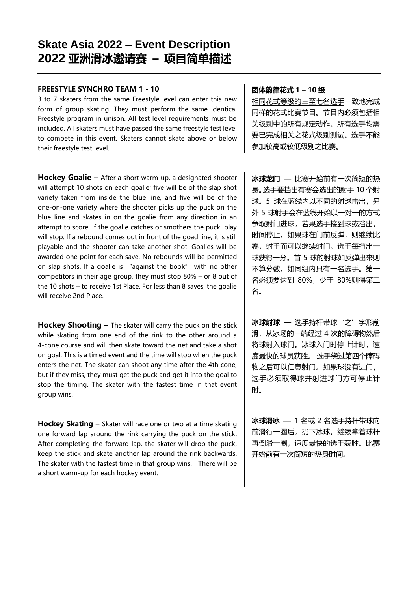#### **FREESTYLE SYNCHRO TEAM 1 - 10**

3 to 7 skaters from the same Freestyle level can enter this new form of group skating. They must perform the same identical Freestyle program in unison. All test level requirements must be included. All skaters must have passed the same freestyle test level to compete in this event. Skaters cannot skate above or below their freestyle test level.

**Hockey Goalie** – After a short warm-up, a designated shooter will attempt 10 shots on each goalie; five will be of the slap shot variety taken from inside the blue line, and five will be of the one-on-one variety where the shooter picks up the puck on the blue line and skates in on the goalie from any direction in an attempt to score. If the goalie catches or smothers the puck, play will stop. If a rebound comes out in front of the goad line, it is still playable and the shooter can take another shot. Goalies will be awarded one point for each save. No rebounds will be permitted on slap shots. If a goalie is "against the book" with no other competitors in their age group, they must stop 80% – or 8 out of the 10 shots – to receive 1st Place. For less than 8 saves, the goalie will receive 2nd Place.

**Hockey Shooting** – The skater will carry the puck on the stick while skating from one end of the rink to the other around a 4-cone course and will then skate toward the net and take a shot on goal. This is a timed event and the time will stop when the puck enters the net. The skater can shoot any time after the 4th cone, but if they miss, they must get the puck and get it into the goal to stop the timing. The skater with the fastest time in that event group wins.

**Hockey Skating** – Skater will race one or two at a time skating one forward lap around the rink carrying the puck on the stick. After completing the forward lap, the skater will drop the puck, keep the stick and skate another lap around the rink backwards. The skater with the fastest time in that group wins. There will be a short warm-up for each hockey event.

#### **团体韵律花式 1 – 10 级**

相同花式等级的三至七名选手一致地完成 同样的花式比赛节目。节目内必须包括相 关级别中的所有规定动作。所有选手均需 要已完成相关之花式级别测试。选手不能 参加较高或较低级别之比赛。

**冰球龙门** — 比赛开始前有一次简短的热 身。选手要挡出有赛会选出的射手 10 个射 球。5 球在蓝线内以不同的射球击出,另 外 5 球射手会在蓝线开始以一对一的方式 争取射门进球,若果选手接到球或挡出, 时间停止。如果球在门前反弹,则继续比 赛,射手而可以继续射门。选手每挡出一 球获得一分。首 5 球的射球如反弹出来则 不算分数。如同组内只有一名选手。第一 名必须要达到 80%,少于 80%则得第二 名。

**冰球射球** — 选手持杆带球'之'字形前 滑,从冰场的一端经过 4 次的障碍物然后 将球射入球门。冰球入门时停止计时,速 度最快的球员获胜。 选手绕过第四个障碍 物之后可以任意射门。如果球没有进门, 选手必须取得球并射进球门方可停止计 时。

**冰球滑冰** — 1 名或 2 名选手持杆带球向 前滑行一圈后,扔下冰球,继续拿着球杆 再倒滑一圈,速度最快的选手获胜。比赛 开始前有一次简短的热身时间。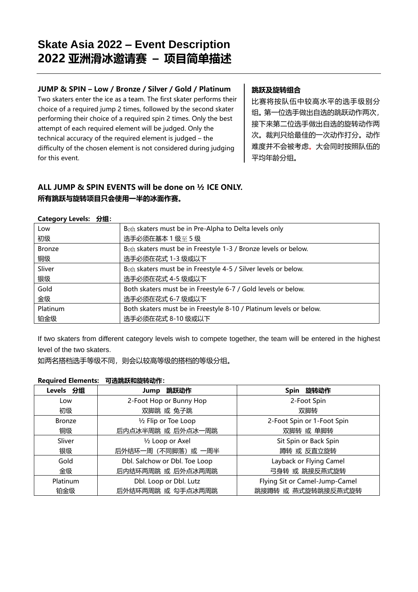## **JUMP & SPIN – Low / Bronze / Silver / Gold / Platinum**

Two skaters enter the ice as a team. The first skater performs their choice of a required jump 2 times, followed by the second skater performing their choice of a required spin 2 times. Only the best attempt of each required element will be judged. Only the technical accuracy of the required element is judged – the difficulty of the chosen element is not considered during judging for this event.

## **跳跃及旋转组合**

比赛将按队伍中较高水平的选手级别分 组。第一位选手做出自选的跳跃动作两次, 接下来第二位选手做出自选的旋转动作两 次。裁判只给最佳的一次动作打分。动作 难度并不会被考虑。大会同时按照队伍的 平均年龄分组。

## **ALL JUMP & SPIN EVENTS will be done on ½ ICE ONLY. 所有跳跃与旋转项目只会使用一半的冰面作赛。**

| Low           | Both skaters must be in Pre-Alpha to Delta levels only             |
|---------------|--------------------------------------------------------------------|
| 初级            | 选手必须在基本 1 级至 5 级                                                   |
| <b>Bronze</b> | Both skaters must be in Freestyle 1-3 / Bronze levels or below.    |
| 铜级            | 选手必须在花式 1-3 级或以下                                                   |
| Sliver        | Both skaters must be in Freestyle 4-5 / Silver levels or below.    |
| 银级            | 选手必须在花式 4-5 级或以下                                                   |
| Gold          | Both skaters must be in Freestyle 6-7 / Gold levels or below.      |
| 金级            | 选手必须在花式 6-7 级或以下                                                   |
| Platinum      | Both skaters must be in Freestyle 8-10 / Platinum levels or below. |
| 铂金级           | 选手必须在花式 8-10 级或以下                                                  |

#### **Category Levels: 分组:**

If two skaters from different category levels wish to compete together, the team will be entered in the highest level of the two skaters.

如两名搭档选手等级不同,则会以较高等级的搭档的等级分组。

#### **Required Elements: 可选跳跃和旋转动作:**

| Levels 分组     | Jump 跳跃动作                         | Spin 旋转动作                      |
|---------------|-----------------------------------|--------------------------------|
| Low           | 2-Foot Hop or Bunny Hop           | 2-Foot Spin                    |
| 初级            | 双脚跳 或 兔子跳                         | 双脚转                            |
| <b>Bronze</b> | 1/2 Flip or Toe Loop              | 2-Foot Spin or 1-Foot Spin     |
| 铜级            | 后内点冰半周跳 或 后外点冰一周跳                 | 双脚转 或 单脚转                      |
| Sliver        | 1/2 Loop or Axel                  | Sit Spin or Back Spin          |
| 银级            | 后外结环一周 (不同脚落) 或 一周半<br>蹲转 或 反直立旋转 |                                |
| Gold          | Dbl. Salchow or Dbl. Toe Loop     | Layback or Flying Camel        |
| 金级            | 后内结环两周跳 或 后外点冰两周跳                 | 弓身转 或 跳接反燕式旋转                  |
| Platinum      | Dbl. Loop or Dbl. Lutz            | Flying Sit or Camel-Jump-Camel |
| 铂金级           | 后外结环两周跳 或 勾手点冰两周跳                 | 跳接蹲转 或 燕式旋转跳接反燕式旋转             |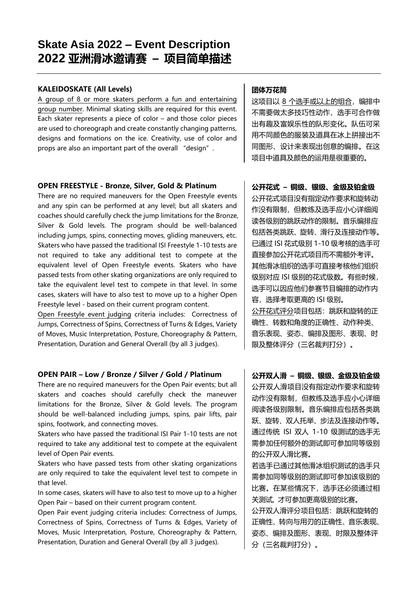## **KALEIDOSKATE (All Levels)**

A group of 8 or more skaters perform a fun and entertaining group number. Minimal skating skills are required for this event. Each skater represents a piece of color – and those color pieces are used to choreograph and create constantly changing patterns, designs and formations on the ice. Creativity, use of color and props are also an important part of the overall "design".

#### **OPEN FREESTYLE - Bronze, Silver, Gold & Platinum**

There are no required maneuvers for the Open Freestyle events and any spin can be performed at any level; but all skaters and coaches should carefully check the jump limitations for the Bronze, Silver & Gold levels. The program should be well-balanced including jumps, spins, connecting moves, gliding maneuvers, etc. Skaters who have passed the traditional ISI Freestyle 1-10 tests are not required to take any additional test to compete at the equivalent level of Open Freestyle events. Skaters who have passed tests from other skating organizations are only required to take the equivalent level test to compete in that level. In some cases, skaters will have to also test to move up to a higher Open Freestyle level - based on their current program content.

Open Freestyle event judging criteria includes: Correctness of Jumps, Correctness of Spins, Correctness of Turns & Edges, Variety of Moves, Music Interpretation, Posture, Choreography & Pattern, Presentation, Duration and General Overall (by all 3 judges).

## **OPEN PAIR – Low / Bronze / Silver / Gold / Platinum**

There are no required maneuvers for the Open Pair events; but all skaters and coaches should carefully check the maneuver limitations for the Bronze, Silver & Gold levels. The program should be well-balanced including jumps, spins, pair lifts, pair spins, footwork, and connecting moves.

Skaters who have passed the traditional ISI Pair 1-10 tests are not required to take any additional test to compete at the equivalent level of Open Pair events.

Skaters who have passed tests from other skating organizations are only required to take the equivalent level test to compete in that level.

In some cases, skaters will have to also test to move up to a higher Open Pair – based on their current program content.

Open Pair event judging criteria includes: Correctness of Jumps, Correctness of Spins, Correctness of Turns & Edges, Variety of Moves, Music Interpretation, Posture, Choreography & Pattern, Presentation, Duration and General Overall (by all 3 judges).

## **团体万花筒**

这项目以 8 个选手或以上的组合,编排中 不需要做太多技巧性动作,选手可合作做 出有趣及富娱乐性的队形变化。队伍可采 用不同颜色的服装及道具在冰上拼接出不 同图形、设计来表现出创意的编排。在这 项目中道具及颜色的运用是很重要的。

## **公开花式 – 铜级、银级、金级及铂金级**

公开花式项目没有指定动作要求和旋转动 作没有限制,但教练及选手应小心详细阅 读各级别的跳跃动作的限制。音乐编排应 包括各类跳跃、旋转、滑行及连接动作等。 已通过 ISI 花式级别 1-10 级考核的选手可 直接参加公开花式项目而不需额外考评。 其他滑冰组织的选手可直接考核他们组织 级别对应 ISI 级别的花式级数。有些时候, 选手可以因应他们参赛节目编排的动作内 容,选择考取更高的 ISI 级别。 公开花式评分项目包括:跳跃和旋转的正

确性、转数和角度的正确性、动作种类、 音乐表现、姿态、编排及图形、表现、时 限及整体评分(三名裁判打分)。

## **公开双人滑 – 铜级、银级、金级及铂金级**

公开双人滑项目没有指定动作要求和旋转 动作没有限制,但教练及选手应小心详细 阅读各级别限制。音乐编排应包括各类跳 跃、旋转、双人托举、步法及连接动作等。 通过传统 ISI 双人 1-10 级测试的选手无 需参加任何额外的测试即可参加同等级别 的公开双人滑比赛。

若选手已通过其他滑冰组织测试的选手只 需参加同等级别的测试即可参加该级别的 比赛。在某些情况下,选手还必须通过相 关测试, 才可参加更高级别的比赛。

公开双人滑评分项目包括:跳跃和旋转的 正确性、转向与用刃的正确性、音乐表现、 姿态、编排及图形、表现、时限及整体评 分(三名裁判打分)。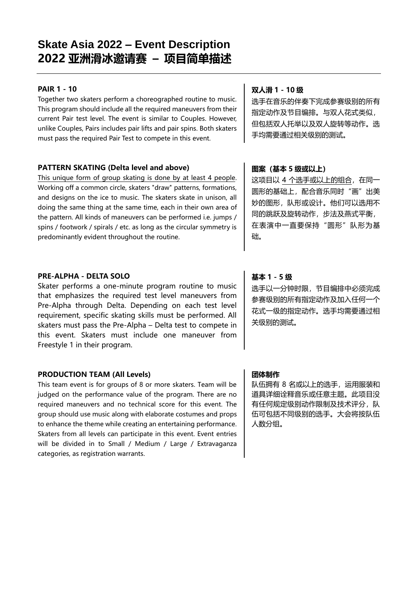## **PAIR 1 - 10**

Together two skaters perform a choreographed routine to music. This program should include all the required maneuvers from their current Pair test level. The event is similar to Couples. However, unlike Couples, Pairs includes pair lifts and pair spins. Both skaters must pass the required Pair Test to compete in this event.

## **PATTERN SKATING (Delta level and above)**

This unique form of group skating is done by at least 4 people. Working off a common circle, skaters "draw" patterns, formations, and designs on the ice to music. The skaters skate in unison, all doing the same thing at the same time, each in their own area of the pattern. All kinds of maneuvers can be performed i.e. jumps / spins / footwork / spirals / etc. as long as the circular symmetry is predominantly evident throughout the routine.

## **PRE-ALPHA - DELTA SOLO**

Skater performs a one-minute program routine to music that emphasizes the required test level maneuvers from Pre-Alpha through Delta. Depending on each test level requirement, specific skating skills must be performed. All skaters must pass the Pre-Alpha – Delta test to compete in this event. Skaters must include one maneuver from Freestyle 1 in their program.

## **PRODUCTION TEAM (All Levels)**

This team event is for groups of 8 or more skaters. Team will be judged on the performance value of the program. There are no required maneuvers and no technical score for this event. The group should use music along with elaborate costumes and props to enhance the theme while creating an entertaining performance. Skaters from all levels can participate in this event. Event entries will be divided in to Small / Medium / Large / Extravaganza categories, as registration warrants.

## **双人滑 1 - 10 级**

选手在音乐的伴奏下完成参赛级别的所有 指定动作及节目编排。与双人花式类似, 但包括双人托举以及双人旋转等动作。选 手均需要通过相关级别的测试。

## **图案(基本 5 级或以上)**

这项目以 4 个选手或以上的组合,在同一 圆形的基础上,配合音乐同时"画"出美 妙的图形,队形或设计。他们可以选用不 同的跳跃及旋转动作,步法及燕式平衡, 在表演中一直要保持"圆形"队形为基 础。

## **基本 1 - 5 级**

选手以一分钟时限,节目编排中必须完成 参赛级别的所有指定动作及加入任何一个 花式一级的指定动作。选手均需要通过相 关级别的测试。

## **团体制作**

队伍拥有 8 名或以上的选手,运用服装和 道具详细诠释音乐或任意主题。此项目没 有任何规定级别动作限制及技术评分,队 伍可包括不同级别的选手。大会将按队伍 人数分组。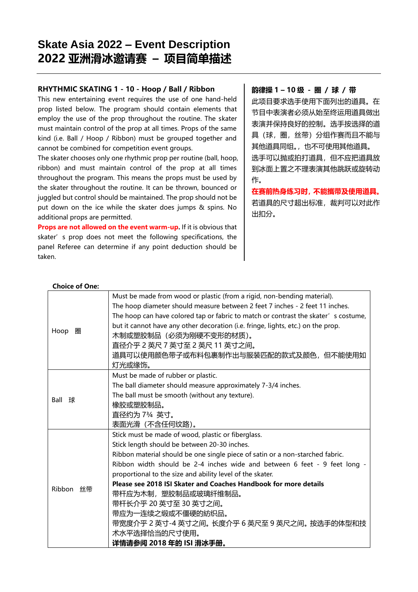## **RHYTHMIC SKATING 1 - 10 - Hoop / Ball / Ribbon**

This new entertaining event requires the use of one hand-held prop listed below. The program should contain elements that employ the use of the prop throughout the routine. The skater must maintain control of the prop at all times. Props of the same kind (i.e. Ball / Hoop / Ribbon) must be grouped together and cannot be combined for competition event groups.

The skater chooses only one rhythmic prop per routine (ball, hoop, ribbon) and must maintain control of the prop at all times throughout the program. This means the props must be used by the skater throughout the routine. It can be thrown, bounced or juggled but control should be maintained. The prop should not be put down on the ice while the skater does jumps & spins. No additional props are permitted.

**Props are not allowed on the event warm-up.** If it is obvious that skater's prop does not meet the following specifications, the panel Referee can determine if any point deduction should be taken.

#### **韵律操 1 – 10 级 - 圈 / 球 / 带**

此项目要求选手使用下面列出的道具。在 节目中表演者必须从始至终运用道具做出 表演并保持良好的控制。选手按选择的道 具(球,圈,丝带)分组作赛而且不能与 其他道具同组。,也不可使用其他道具。 选手可以抛或拍打道具,但不应把道具放 到冰面上置之不理表演其他跳跃或旋转动 作。

**在赛前热身练习时,不能攜带及使用道具。** 若道具的尺寸超出标准,裁判可以对此作 出扣分。

|           | Must be made from wood or plastic (from a rigid, non-bending material).             |
|-----------|-------------------------------------------------------------------------------------|
| Hoop 圈    | The hoop diameter should measure between 2 feet 7 inches - 2 feet 11 inches.        |
|           | The hoop can have colored tap or fabric to match or contrast the skater' s costume, |
|           | but it cannot have any other decoration (i.e. fringe, lights, etc.) on the prop.    |
|           | 木制或塑胶制品(必须为刚硬不变形的材质)。                                                               |
|           | 直径介乎 2 英尺 7 英寸至 2 英尺 11 英寸之间。                                                       |
|           | 道具可以使用颜色带子或布料包裹制作出与服装匹配的款式及颜色,但不能使用如                                                |
|           | 灯光或缘饰。                                                                              |
|           | Must be made of rubber or plastic.                                                  |
|           | The ball diameter should measure approximately 7-3/4 inches.                        |
| Ball 球    | The ball must be smooth (without any texture).                                      |
|           | 橡胶或塑胶制品。                                                                            |
|           | 直径约为 734 英寸。                                                                        |
|           | 表面光滑(不含任何纹路)。                                                                       |
|           | Stick must be made of wood, plastic or fiberglass.                                  |
|           | Stick length should be between 20-30 inches.                                        |
|           | Ribbon material should be one single piece of satin or a non-starched fabric.       |
|           | Ribbon width should be 2-4 inches wide and between 6 feet - 9 feet long -           |
| Ribbon 丝带 | proportional to the size and ability level of the skater.                           |
|           | Please see 2018 ISI Skater and Coaches Handbook for more details                    |
|           | 带杆应为木制,塑胶制品或玻璃纤维制品。                                                                 |
|           | 带杆长介乎 20 英寸至 30 英寸之间。                                                               |
|           | 带应为一连续之缎或不僵硬的紡织品。                                                                   |
|           | 带宽度介乎 2 英寸-4 英寸之间。 长度介乎 6 英尺至 9 英尺之间。 按选手的体型和技                                      |
|           | 术水平选择恰当的尺寸使用。                                                                       |
|           | 详情请参阅 2018 年的 ISI 滑冰手册。                                                             |

#### **Choice of One:**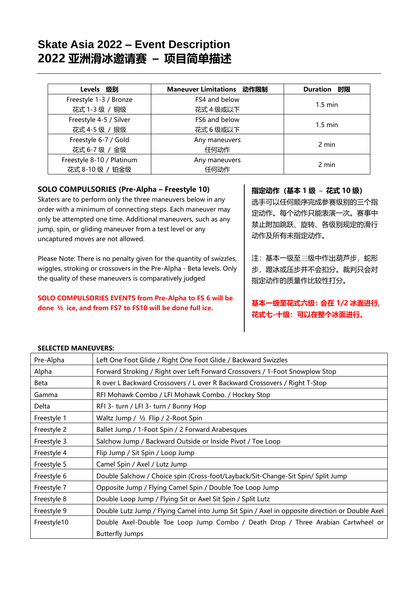| Levels 级别                 | Maneuver Limitations 动作限制 | <b>Duration 时限</b> |  |
|---------------------------|---------------------------|--------------------|--|
| Freestyle 1-3 / Bronze    | FS4 and below             |                    |  |
| 花式 1-3 级 / 铜级             | 花式 4 级或以下                 | $1.5 \text{ min}$  |  |
| Freestyle 4-5 / Silver    | FS6 and below             |                    |  |
| 花式 4-5 级 / 银级             | 花式 6 级或以下                 | $1.5 \text{ min}$  |  |
| Freestyle 6-7 / Gold      | Any maneuvers             | 2 min              |  |
| 花式 6-7 级 / 金级             | 任何动作                      |                    |  |
| Freestyle 8-10 / Platinum | Any maneuvers             | 2 min              |  |
| 花式 8-10 级 / 铂金级           | 任何动作                      |                    |  |

## **SOLO COMPULSORIES (Pre-Alpha – Freestyle 10)**

Skaters are to perform only the three maneuvers below in any order with a minimum of connecting steps. Each maneuver may only be attempted one time. Additional maneuvers, such as any jump, spin, or gliding maneuver from a test level or any uncaptured moves are not allowed.

Please Note: There is no penalty given for the quantity of swizzles, wiggles, stroking or crossovers in the Pre-Alpha - Beta levels. Only the quality of these maneuvers is comparatively judged

## **SOLO COMPULSORIES EVENTS from Pre-Alpha to FS 6 will be done ½ ice, and from FS7 to FS10 will be done full ice.**

## **指定动作(基本 1 级** – **花式 10 级)**

选手可以任何顺序完成参赛级别的三个指 定动作。每个动作只能表演一次。赛事中 禁止附加跳跃、旋转、各级别规定的滑行 动作及所有未指定动作。

注:基本一级至三级中作出葫芦步,蛇形 步, 蹬冰或压步并不会扣分。裁判只会对 指定动作的质量作比较性打分。

## **基本一级至花式六级:会在 1/2 冰面进行, 花式七-十级:可以在整个冰面进行。**

## **SELECTED MANEUVERS:**

| Pre-Alpha   | Left One Foot Glide / Right One Foot Glide / Backward Swizzles                                 |
|-------------|------------------------------------------------------------------------------------------------|
| Alpha       | Forward Stroking / Right over Left Forward Crossovers / 1-Foot Snowplow Stop                   |
| Beta        | R over L Backward Crossovers / L over R Backward Crossovers / Right T-Stop                     |
| Gamma       | RFI Mohawk Combo / LFI Mohawk Combo. / Hockey Stop                                             |
| Delta       | RFI 3- turn / LFI 3- turn / Bunny Hop                                                          |
| Freestyle 1 | Waltz Jump / 1/2 Flip / 2-Root Spin                                                            |
| Freestyle 2 | Ballet Jump / 1-Foot Spin / 2 Forward Arabesques                                               |
| Freestyle 3 | Salchow Jump / Backward Outside or Inside Pivot / Toe Loop                                     |
| Freestyle 4 | Flip Jump / Sit Spin / Loop Jump                                                               |
| Freestyle 5 | Camel Spin / Axel / Lutz Jump                                                                  |
| Freestyle 6 | Double Salchow / Choice spin (Cross-foot/Layback/Sit-Change-Sit Spin/ Split Jump               |
| Freestyle 7 | Opposite Jump / Flying Camel Spin / Double Toe Loop Jump                                       |
| Freestyle 8 | Double Loop Jump / Flying Sit or Axel Sit Spin / Split Lutz                                    |
| Freestyle 9 | Double Lutz Jump / Flying Camel into Jump Sit Spin / Axel in opposite direction or Double Axel |
| Freestyle10 | Double Axel-Double Toe Loop Jump Combo / Death Drop / Three Arabian Cartwheel or               |
|             | <b>Butterfly Jumps</b>                                                                         |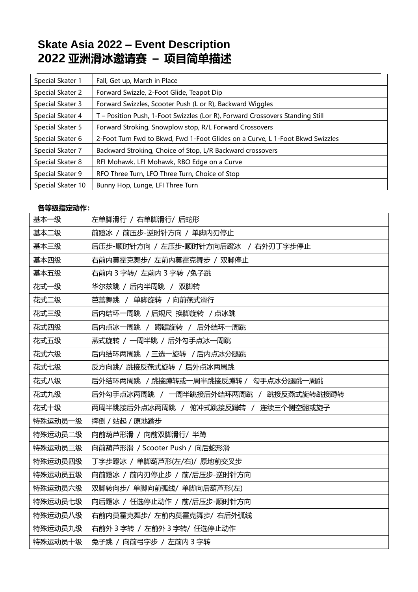| Special Skater 1  | Fall, Get up, March in Place                                                  |
|-------------------|-------------------------------------------------------------------------------|
| Special Skater 2  | Forward Swizzle, 2-Foot Glide, Teapot Dip                                     |
| Special Skater 3  | Forward Swizzles, Scooter Push (L or R), Backward Wiggles                     |
| Special Skater 4  | T - Position Push, 1-Foot Swizzles (Lor R), Forward Crossovers Standing Still |
| Special Skater 5  | Forward Stroking, Snowplow stop, R/L Forward Crossovers                       |
| Special Skater 6  | 2-Foot Turn Fwd to Bkwd, Fwd 1-Foot Glides on a Curve, L 1-Foot Bkwd Swizzles |
| Special Skater 7  | Backward Stroking, Choice of Stop, L/R Backward crossovers                    |
| Special Skater 8  | RFI Mohawk. LFI Mohawk, RBO Edge on a Curve                                   |
| Special Skater 9  | RFO Three Turn, LFO Three Turn, Choice of Stop                                |
| Special Skater 10 | Bunny Hop, Lunge, LFI Three Turn                                              |

## **各等级指定动作:**

| 基本一级    | 左单脚滑行 / 右单脚滑行/ 后蛇形                     |
|---------|----------------------------------------|
| 基本二级    | 前蹬冰 / 前压步-逆时针方向 / 单脚内刃停止               |
| 基本三级    | 后压步-顺时针方向 / 左压步-顺时针方向后蹬冰 / 右外刃丁字步停止    |
| 基本四级    | 右前内莫霍克舞步/ 左前内莫霍克舞步 / 双脚停止              |
| 基本五级    | 右前内 3 字转/ 左前内 3 字转 /兔子跳                |
| 花式一级    | 华尔兹跳 / 后内半周跳 / 双脚转                     |
| 花式二级    | 芭蕾舞跳 / 单脚旋转 / 向前燕式滑行                   |
| 花式三级    | 后内结环一周跳 / 后规尺 换脚旋转 / 点冰跳               |
| 花式四级    | 后内点冰一周跳 / 蹲踞旋转 / 后外结环一周跳               |
| 花式五级    | 燕式旋转 / 一周半跳 / 后外勾手点冰一周跳                |
| 花式六级    | 后内结环两周跳 / 三选一旋转 / 后内点冰分腿跳              |
| 花式七级    | 反方向跳/ 跳接反燕式旋转 / 后外点冰两周跳                |
| 花式八级    | 后外结环两周跳 / 跳接蹲转或一周半跳接反蹲转 / 勾手点冰分腿跳一周跳   |
| 花式九级    | 后外勾手点冰两周跳 / 一周半跳接后外结环两周跳 / 跳接反燕式旋转跳接蹲转 |
| 花式十级    | 两周半跳接后外点冰两周跳 / 俯冲式跳接反蹲转 / 连续三个侧空翻或旋子   |
| 特殊运动员一级 | 摔倒 / 站起 / 原地踏步                         |
| 特殊运动员二级 | 向前葫芦形滑 / 向前双脚滑行/ 半蹲                    |
| 特殊运动员三级 | 向前葫芦形滑 / Scooter Push / 向后蛇形滑          |
| 特殊运动员四级 | 丁字步蹬冰 / 单脚葫芦形(左/右)/ 原地前交叉步             |
| 特殊运动员五级 | 向前蹬冰 / 前内刃停止步 / 前/后压步-逆时针方向            |
| 特殊运动员六级 | 双脚转向步/ 单脚向前弧线/ 单脚向后葫芦形(左)              |
| 特殊运动员七级 | 向后蹬冰 / 任选停止动作 / 前/后压步-顺时针方向            |
| 特殊运动员八级 | 右前内莫霍克舞步/左前内莫霍克舞步/右后外弧线                |
| 特殊运动员九级 | 右前外 3 字转 / 左前外 3 字转/ 任选停止动作            |
| 特殊运动员十级 | 兔子跳 / 向前弓字步 / 左前内 3 字转                 |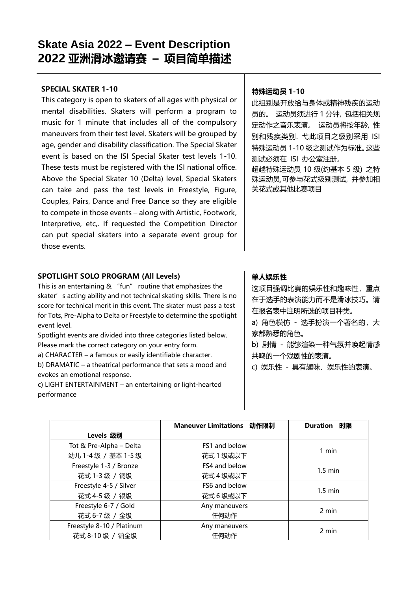#### **SPECIAL SKATER 1-10**

This category is open to skaters of all ages with physical or mental disabilities. Skaters will perform a program to music for 1 minute that includes all of the compulsory maneuvers from their test level. Skaters will be grouped by age, gender and disability classification. The Special Skater event is based on the ISI Special Skater test levels 1-10. These tests must be registered with the ISI national office. Above the Special Skater 10 (Delta) level, Special Skaters can take and pass the test levels in Freestyle, Figure, Couples, Pairs, Dance and Free Dance so they are eligible to compete in those events – along with Artistic, Footwork, Interpretive, etc,. If requested the Competition Director can put special skaters into a separate event group for those events.

## **SPOTLIGHT SOLO PROGRAM (All Levels)**

This is an entertaining & "fun" routine that emphasizes the skater's acting ability and not technical skating skills. There is no score for technical merit in this event. The skater must pass a test for Tots, Pre-Alpha to Delta or Freestyle to determine the spotlight event level.

Spotlight events are divided into three categories listed below. Please mark the correct category on your entry form.

a) CHARACTER – a famous or easily identifiable character.

b) DRAMATIC – a theatrical performance that sets a mood and evokes an emotional response.

c) LIGHT ENTERTAINMENT – an entertaining or light-hearted performance

## **特殊运动员 1-10**

此组别是开放给与身体或精神残疾的运动 员的。 运动员须进行 1 分钟, 包括相关规 定动作之音乐表演。 运动员将按年龄, 性 别和残疾类别. 弋此项目之级别采用 ISI 特殊运动员 1-10 级之测试作为标准。这些 测试必须在 ISI 办公室注册。 超越特殊运动员 10 级(约基本 5 级) 之特 殊运动员,可参与花式级别测试, 并参加相 关花式或其他比赛项目

## **单人娱乐性**

这项目强调比赛的娱乐性和趣味性,重点 在于选手的表演能力而不是滑冰技巧。请 在报名表中注明所选的项目种类。

a) 角色模仿 - 选手扮演一个著名的, 大 家都熟悉的角色。

b) 剧情 - 能够渲染一种气氛并唤起情感 共鸣的一个戏剧性的表演。

c) 娱乐性 - 具有趣味、娱乐性的表演。

|                           | Maneuver Limitations 动作限制 | Duration<br>时限    |
|---------------------------|---------------------------|-------------------|
| <b>Levels 级别</b>          |                           |                   |
| Tot & Pre-Alpha - Delta   | FS1 and below             | 1 min             |
| 幼儿 1-4 级 / 基本 1-5 级       | 花式1级或以下                   |                   |
| Freestyle 1-3 / Bronze    | FS4 and below             | $1.5 \text{ min}$ |
| 花式 1-3 级 / 铜级             | 花式 4 级或以下                 |                   |
| Freestyle 4-5 / Silver    | FS6 and below             | $1.5 \text{ min}$ |
| 花式 4-5 级 / 银级             | 花式6级或以下                   |                   |
| Freestyle 6-7 / Gold      | Any maneuvers             |                   |
| 花式 6-7 级 / 金级             | 任何动作                      | 2 min             |
| Freestyle 8-10 / Platinum | Any maneuvers             | 2 min             |
| 花式 8-10 级 / 铂金级           | 任何动作                      |                   |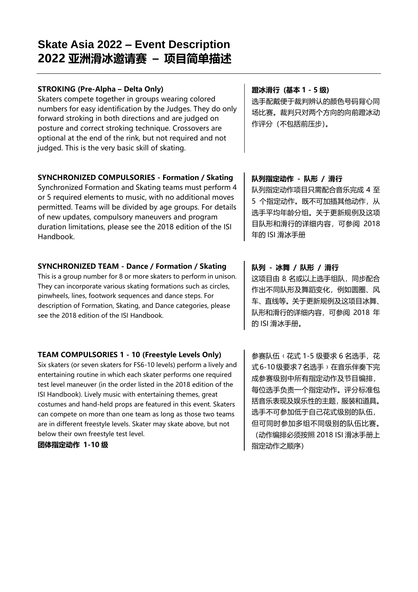## **STROKING (Pre-Alpha – Delta Only)**

Skaters compete together in groups wearing colored numbers for easy identification by the Judges. They do only forward stroking in both directions and are judged on posture and correct stroking technique. Crossovers are optional at the end of the rink, but not required and not judged. This is the very basic skill of skating.

## **SYNCHRONIZED COMPULSORIES - Formation / Skating**

Synchronized Formation and Skating teams must perform 4 or 5 required elements to music, with no additional moves permitted. Teams will be divided by age groups. For details of new updates, compulsory maneuvers and program duration limitations, please see the 2018 edition of the ISI Handbook.

## **SYNCHRONIZED TEAM - Dance / Formation / Skating**

This is a group number for 8 or more skaters to perform in unison. They can incorporate various skating formations such as circles, pinwheels, lines, footwork sequences and dance steps. For description of Formation, Skating, and Dance categories, please see the 2018 edition of the ISI Handbook.

## **TEAM COMPULSORIES 1 - 10 (Freestyle Levels Only)**

Six skaters (or seven skaters for FS6-10 levels) perform a lively and entertaining routine in which each skater performs one required test level maneuver (in the order listed in the 2018 edition of the ISI Handbook). Lively music with entertaining themes, great costumes and hand-held props are featured in this event. Skaters can compete on more than one team as long as those two teams are in different freestyle levels. Skater may skate above, but not below their own freestyle test level.

## **团体指定动作 1-10 级**

## **蹬冰滑行 (基本 1 - 5 级)**

选手配戴便于裁判辨认的颜色号码背心同 场比赛。裁判只对两个方向的向前蹬冰动 作评分(不包括前压步)。

## **队列指定动作 - 队形 / 滑行**

队列指定动作项目只需配合音乐完成 4 至 5 个指定动作。既不可加插其他动作,从 选手平均年龄分组。关于更新规例及这项 目队形和滑行的详细内容,可参阅 2018 年的 ISI 滑冰手册

## **队列 - 冰舞 / 队形 / 滑行**

这项目由 8 名或以上选手组队,同步配合 作出不同队形及舞蹈变化,例如圆圈、风 车、直线等。关于更新规例及这项目冰舞、 队形和滑行的详细内容,可参阅 2018 年 的 ISI 滑冰手册。

参赛队伍(花式 1-5 级要求 6 名选手, 花 式6-10级要求7名选手→在音乐伴奏下完 成参赛级别中所有指定动作及节目编排, 每位选手负责一个指定动作。评分标准包 括音乐表现及娱乐性的主题,服装和道具。 选手不可参加低于自己花式级别的队伍, 但可同时参加多组不同级别的队伍比赛。 (动作编排必须按照 2018 ISI 滑冰手册上 指定动作之顺序)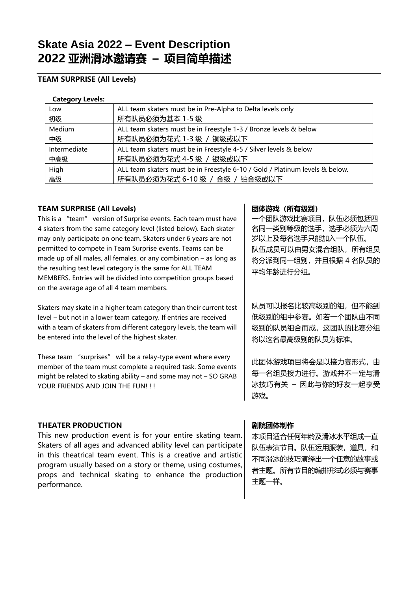## **TEAM SURPRISE (All Levels)**

#### **Category Levels:**

| Low          | ALL team skaters must be in Pre-Alpha to Delta levels only                   |
|--------------|------------------------------------------------------------------------------|
| 初级           | 所有队员必须为基本 1-5 级                                                              |
| Medium       | ALL team skaters must be in Freestyle 1-3 / Bronze levels & below            |
| 中级           | 所有队员必须为花式 1-3 级 / 铜级或以下                                                      |
| Intermediate | ALL team skaters must be in Freestyle 4-5 / Silver levels & below            |
| 中高级          | 所有队员必须为花式 4-5 级 / 银级或以下                                                      |
| High         | ALL team skaters must be in Freestyle 6-10 / Gold / Platinum levels & below. |
| 高级           | 所有队员必须为花式 6-10 级 / 金级 / 铂金级或以下                                               |
|              |                                                                              |

## **TEAM SURPRISE (All Levels)**

This is a "team" version of Surprise events. Each team must have 4 skaters from the same category level (listed below). Each skater may only participate on one team. Skaters under 6 years are not permitted to compete in Team Surprise events. Teams can be made up of all males, all females, or any combination – as long as the resulting test level category is the same for ALL TEAM MEMBERS. Entries will be divided into competition groups based on the average age of all 4 team members.

Skaters may skate in a higher team category than their current test level – but not in a lower team category. If entries are received with a team of skaters from different category levels, the team will be entered into the level of the highest skater.

These team "surprises" will be a relay-type event where every member of the team must complete a required task. Some events might be related to skating ability – and some may not – SO GRAB YOUR FRIENDS AND JOIN THE FUN!!!

## **THEATER PRODUCTION**

This new production event is for your entire skating team. Skaters of all ages and advanced ability level can participate in this theatrical team event. This is a creative and artistic program usually based on a story or theme, using costumes, props and technical skating to enhance the production performance.

## **团体游戏(所有级别)**

一个团队游戏比赛项目,队伍必须包括四 名同一类别等级的选手,选手必须为六周 岁以上及每名选手只能加入一个队伍。 队伍成员可以由男女混合组队,所有组员 将分派到同一组别,并且根据 4 名队员的 平均年龄进行分组。

队员可以报名比较高级别的组,但不能到 低级别的组中参赛。如若一个团队由不同 级别的队员组合而成,这团队的比赛分组 将以这名最高级别的队员为标准。

此团体游戏项目将会是以接力赛形式,由 每一名组员接力进行。游戏并不一定与滑 冰技巧有关 – 因此与你的好友一起享受 游戏。

## **剧院团体制作**

本项目适合任何年龄及滑冰水平组成一直 队伍表演节目。队伍运用服装,道具,和 不同滑冰的技巧演绎出一个任意的故事或 者主题。所有节目的编排形式必须与赛事 主题一样。